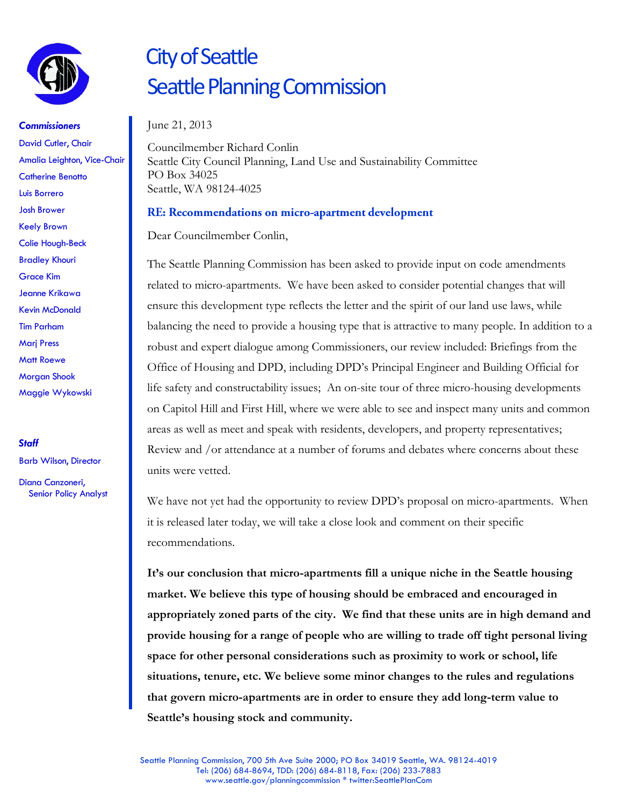

*Commissioners* David Cutler, Chair Amalia Leighton, Vice-Chair Catherine Benotto Luis Borrero Josh Brower Keely Brown Colie Hough-Beck Bradley Khouri Grace Kim Jeanne Krikawa Kevin McDonald Tim Parham Marj Press Matt Roewe Morgan Shook Maggie Wykowski

*Staff*

Barb Wilson, Director

Diana Canzoneri, Senior Policy Analyst

# City of Seattle Seattle Planning Commission

### June 21, 2013

Councilmember Richard Conlin Seattle City Council Planning, Land Use and Sustainability Committee PO Box 34025 Seattle, WA 98124-4025

### RE: Recommendations on micro-apartment development

Dear Councilmember Conlin,

The Seattle Planning Commission has been asked to provide input on code amendments related to micro-apartments. We have been asked to consider potential changes that will ensure this development type reflects the letter and the spirit of our land use laws, while balancing the need to provide a housing type that is attractive to many people. In addition to a robust and expert dialogue among Commissioners, our review included: Briefings from the Office of Housing and DPD, including DPD's Principal Engineer and Building Official for life safety and constructability issues; An on-site tour of three micro-housing developments on Capitol Hill and First Hill, where we were able to see and inspect many units and common areas as well as meet and speak with residents, developers, and property representatives; Review and /or attendance at a number of forums and debates where concerns about these units were vetted.

We have not yet had the opportunity to review DPD's proposal on micro-apartments. When it is released later today, we will take a close look and comment on their specific recommendations.

**It's our conclusion that micro-apartments fill a unique niche in the Seattle housing market. We believe this type of housing should be embraced and encouraged in appropriately zoned parts of the city. We find that these units are in high demand and provide housing for a range of people who are willing to trade off tight personal living space for other personal considerations such as proximity to work or school, life situations, tenure, etc. We believe some minor changes to the rules and regulations that govern micro-apartments are in order to ensure they add long-term value to Seattle's housing stock and community.**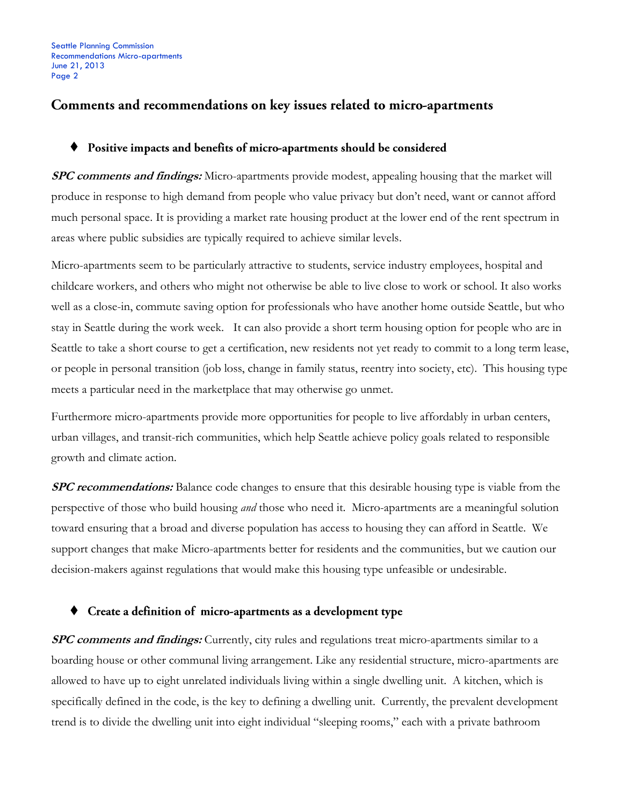### Comments and recommendations on key issues related to micro-apartments

#### $\blacklozenge$ Positive impacts and benefits of micro-apartments should be considered

**SPC comments and findings:** Micro-apartments provide modest, appealing housing that the market will produce in response to high demand from people who value privacy but don't need, want or cannot afford much personal space. It is providing a market rate housing product at the lower end of the rent spectrum in areas where public subsidies are typically required to achieve similar levels.

Micro-apartments seem to be particularly attractive to students, service industry employees, hospital and childcare workers, and others who might not otherwise be able to live close to work or school. It also works well as a close-in, commute saving option for professionals who have another home outside Seattle, but who stay in Seattle during the work week. It can also provide a short term housing option for people who are in Seattle to take a short course to get a certification, new residents not yet ready to commit to a long term lease, or people in personal transition (job loss, change in family status, reentry into society, etc). This housing type meets a particular need in the marketplace that may otherwise go unmet.

Furthermore micro-apartments provide more opportunities for people to live affordably in urban centers, urban villages, and transit-rich communities, which help Seattle achieve policy goals related to responsible growth and climate action.

**SPC recommendations:** Balance code changes to ensure that this desirable housing type is viable from the perspective of those who build housing *and* those who need it. Micro-apartments are a meaningful solution toward ensuring that a broad and diverse population has access to housing they can afford in Seattle. We support changes that make Micro-apartments better for residents and the communities, but we caution our decision-makers against regulations that would make this housing type unfeasible or undesirable.

#### • Create a definition of micro-apartments as a development type

**SPC comments and findings:** Currently, city rules and regulations treat micro-apartments similar to a boarding house or other communal living arrangement. Like any residential structure, micro-apartments are allowed to have up to eight unrelated individuals living within a single dwelling unit. A kitchen, which is specifically defined in the code, is the key to defining a dwelling unit. Currently, the prevalent development trend is to divide the dwelling unit into eight individual "sleeping rooms," each with a private bathroom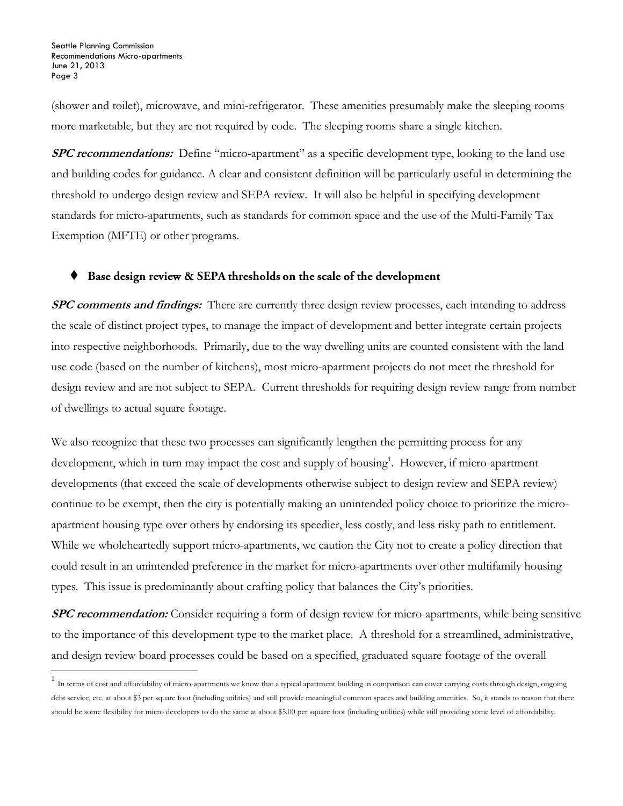l

(shower and toilet), microwave, and mini-refrigerator. These amenities presumably make the sleeping rooms more marketable, but they are not required by code. The sleeping rooms share a single kitchen.

**SPC recommendations:** Define "micro-apartment" as a specific development type, looking to the land use and building codes for guidance. A clear and consistent definition will be particularly useful in determining the threshold to undergo design review and SEPA review. It will also be helpful in specifying development standards for micro-apartments, such as standards for common space and the use of the Multi-Family Tax Exemption (MFTE) or other programs.

#### $\blacklozenge$ Base design review & SEPA thresholds on the scale of the development

**SPC comments and findings:** There are currently three design review processes, each intending to address the scale of distinct project types, to manage the impact of development and better integrate certain projects into respective neighborhoods. Primarily, due to the way dwelling units are counted consistent with the land use code (based on the number of kitchens), most micro-apartment projects do not meet the threshold for design review and are not subject to SEPA. Current thresholds for requiring design review range from number of dwellings to actual square footage.

We also recognize that these two processes can significantly lengthen the permitting process for any development, which in turn may impact the cost and supply of housing<sup>1</sup>. However, if micro-apartment developments (that exceed the scale of developments otherwise subject to design review and SEPA review) continue to be exempt, then the city is potentially making an unintended policy choice to prioritize the microapartment housing type over others by endorsing its speedier, less costly, and less risky path to entitlement. While we wholeheartedly support micro-apartments, we caution the City not to create a policy direction that could result in an unintended preference in the market for micro-apartments over other multifamily housing types. This issue is predominantly about crafting policy that balances the City's priorities.

**SPC recommendation:** Consider requiring a form of design review for micro-apartments, while being sensitive to the importance of this development type to the market place. A threshold for a streamlined, administrative, and design review board processes could be based on a specified, graduated square footage of the overall

<sup>&</sup>lt;sup>1</sup> In terms of cost and affordability of micro-apartments we know that a typical apartment building in comparison can cover carrying costs through design, ongoing debt service, etc. at about \$3 per square foot (including utilities) and still provide meaningful common spaces and building amenities. So, it stands to reason that there should be some flexibility for micro developers to do the same at about \$5.00 per square foot (including utilities) while still providing some level of affordability.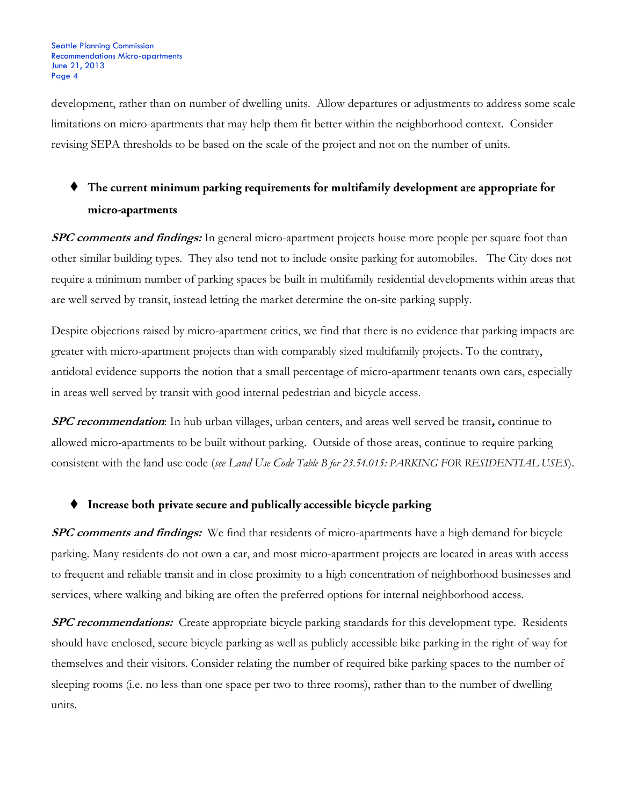development, rather than on number of dwelling units. Allow departures or adjustments to address some scale limitations on micro-apartments that may help them fit better within the neighborhood context. Consider revising SEPA thresholds to be based on the scale of the project and not on the number of units.

## $\blacklozenge$  The current minimum parking requirements for multifamily development are appropriate for micro-apartments

**SPC comments and findings:** In general micro-apartment projects house more people per square foot than other similar building types. They also tend not to include onsite parking for automobiles. The City does not require a minimum number of parking spaces be built in multifamily residential developments within areas that are well served by transit, instead letting the market determine the on-site parking supply.

Despite objections raised by micro-apartment critics, we find that there is no evidence that parking impacts are greater with micro-apartment projects than with comparably sized multifamily projects. To the contrary, antidotal evidence supports the notion that a small percentage of micro-apartment tenants own cars, especially in areas well served by transit with good internal pedestrian and bicycle access.

**SPC recommendation**: In hub urban villages, urban centers, and areas well served be transit**,** continue to allowed micro-apartments to be built without parking. Outside of those areas, continue to require parking consistent with the land use code (*see Land Use Code Table B for 23.54.015: PARKING FOR RESIDENTIAL USES*).

### $\blacklozenge$  Increase both private secure and publically accessible bicycle parking

**SPC comments and findings:** We find that residents of micro-apartments have a high demand for bicycle parking. Many residents do not own a car, and most micro-apartment projects are located in areas with access to frequent and reliable transit and in close proximity to a high concentration of neighborhood businesses and services, where walking and biking are often the preferred options for internal neighborhood access.

**SPC recommendations:** Create appropriate bicycle parking standards for this development type. Residents should have enclosed, secure bicycle parking as well as publicly accessible bike parking in the right-of-way for themselves and their visitors. Consider relating the number of required bike parking spaces to the number of sleeping rooms (i.e. no less than one space per two to three rooms), rather than to the number of dwelling units.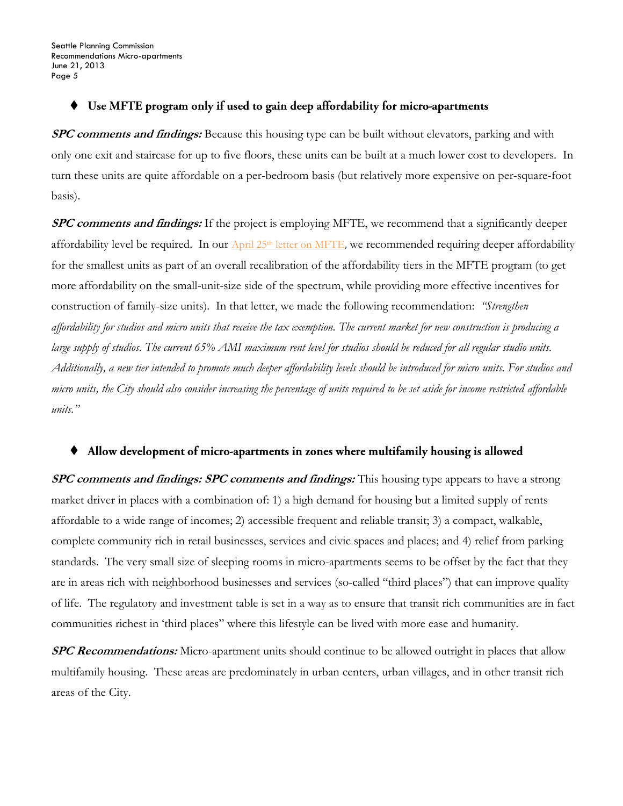#### ٠ Use MFTE program only if used to gain deep affordability for micro-apartments

**SPC comments and findings:** Because this housing type can be built without elevators, parking and with only one exit and staircase for up to five floors, these units can be built at a much lower cost to developers. In turn these units are quite affordable on a per-bedroom basis (but relatively more expensive on per-square-foot basis).

**SPC comments and findings:** If the project is employing MFTE, we recommend that a significantly deeper affordability level be required. In our  $\Delta \text{pril } 25^{\text{th}}$  [letter on MFTE](http://www.seattle.gov/planningcommission/docs/PlanningCommissionMFTERecommendationsApril252013.pdf), we recommended requiring deeper affordability for the smallest units as part of an overall recalibration of the affordability tiers in the MFTE program (to get more affordability on the small-unit-size side of the spectrum, while providing more effective incentives for construction of family-size units). In that letter, we made the following recommendation: *"Strengthen affordability for studios and micro units that receive the tax exemption. The current market for new construction is producing a large supply of studios. The current 65% AMI maximum rent level for studios should be reduced for all regular studio units. Additionally, a new tier intended to promote much deeper affordability levels should be introduced for micro units. For studios and micro units, the City should also consider increasing the percentage of units required to be set aside for income restricted affordable units."*

#### $\blacklozenge$ Allow development of micro-apartments in zones where multifamily housing is allowed

**SPC comments and findings: SPC comments and findings:** This housing type appears to have a strong market driver in places with a combination of: 1) a high demand for housing but a limited supply of rents affordable to a wide range of incomes; 2) accessible frequent and reliable transit; 3) a compact, walkable, complete community rich in retail businesses, services and civic spaces and places; and 4) relief from parking standards. The very small size of sleeping rooms in micro-apartments seems to be offset by the fact that they are in areas rich with neighborhood businesses and services (so-called "third places") that can improve quality of life. The regulatory and investment table is set in a way as to ensure that transit rich communities are in fact communities richest in 'third places" where this lifestyle can be lived with more ease and humanity.

**SPC Recommendations:** Micro-apartment units should continue to be allowed outright in places that allow multifamily housing. These areas are predominately in urban centers, urban villages, and in other transit rich areas of the City.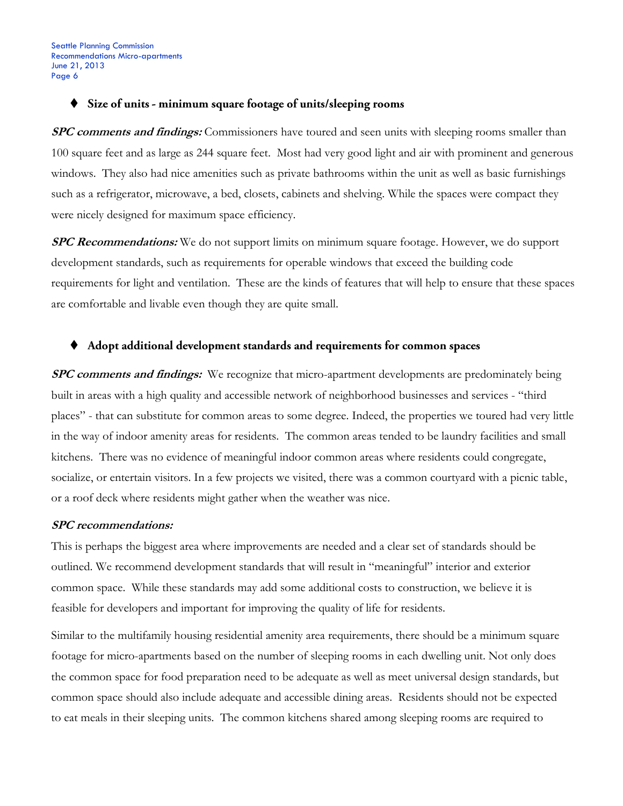#### $\blacklozenge$  Size of units - minimum square footage of units/sleeping rooms

**SPC comments and findings:** Commissioners have toured and seen units with sleeping rooms smaller than 100 square feet and as large as 244 square feet. Most had very good light and air with prominent and generous windows. They also had nice amenities such as private bathrooms within the unit as well as basic furnishings such as a refrigerator, microwave, a bed, closets, cabinets and shelving. While the spaces were compact they were nicely designed for maximum space efficiency.

**SPC Recommendations:** We do not support limits on minimum square footage. However, we do support development standards, such as requirements for operable windows that exceed the building code requirements for light and ventilation. These are the kinds of features that will help to ensure that these spaces are comfortable and livable even though they are quite small.

#### ٠ Adopt additional development standards and requirements for common spaces

**SPC comments and findings:** We recognize that micro-apartment developments are predominately being built in areas with a high quality and accessible network of neighborhood businesses and services - "third places" - that can substitute for common areas to some degree. Indeed, the properties we toured had very little in the way of indoor amenity areas for residents. The common areas tended to be laundry facilities and small kitchens. There was no evidence of meaningful indoor common areas where residents could congregate, socialize, or entertain visitors. In a few projects we visited, there was a common courtyard with a picnic table, or a roof deck where residents might gather when the weather was nice.

#### **SPC recommendations:**

This is perhaps the biggest area where improvements are needed and a clear set of standards should be outlined. We recommend development standards that will result in "meaningful" interior and exterior common space. While these standards may add some additional costs to construction, we believe it is feasible for developers and important for improving the quality of life for residents.

Similar to the multifamily housing residential amenity area requirements, there should be a minimum square footage for micro-apartments based on the number of sleeping rooms in each dwelling unit. Not only does the common space for food preparation need to be adequate as well as meet universal design standards, but common space should also include adequate and accessible dining areas. Residents should not be expected to eat meals in their sleeping units. The common kitchens shared among sleeping rooms are required to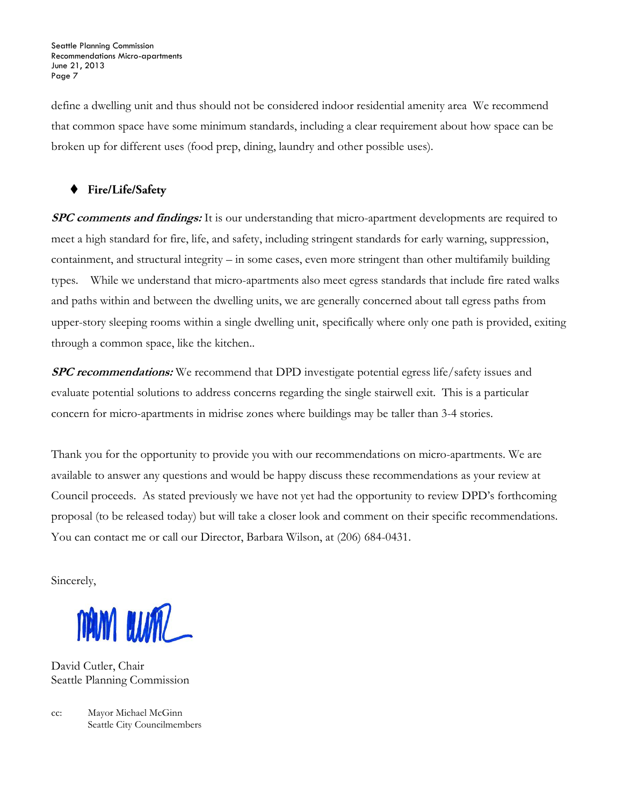define a dwelling unit and thus should not be considered indoor residential amenity area We recommend that common space have some minimum standards, including a clear requirement about how space can be broken up for different uses (food prep, dining, laundry and other possible uses).

### ♦ Fire/Life/Safety

**SPC comments and findings:** It is our understanding that micro-apartment developments are required to meet a high standard for fire, life, and safety, including stringent standards for early warning, suppression, containment, and structural integrity – in some cases, even more stringent than other multifamily building types. While we understand that micro-apartments also meet egress standards that include fire rated walks and paths within and between the dwelling units, we are generally concerned about tall egress paths from upper-story sleeping rooms within a single dwelling unit, specifically where only one path is provided, exiting through a common space, like the kitchen..

**SPC recommendations:** We recommend that DPD investigate potential egress life/safety issues and evaluate potential solutions to address concerns regarding the single stairwell exit. This is a particular concern for micro-apartments in midrise zones where buildings may be taller than 3-4 stories.

Thank you for the opportunity to provide you with our recommendations on micro-apartments. We are available to answer any questions and would be happy discuss these recommendations as your review at Council proceeds. As stated previously we have not yet had the opportunity to review DPD's forthcoming proposal (to be released today) but will take a closer look and comment on their specific recommendations. You can contact me or call our Director, Barbara Wilson, at (206) 684-0431.

Sincerely,

MAN WAL

David Cutler, Chair Seattle Planning Commission

cc: Mayor Michael McGinn Seattle City Councilmembers